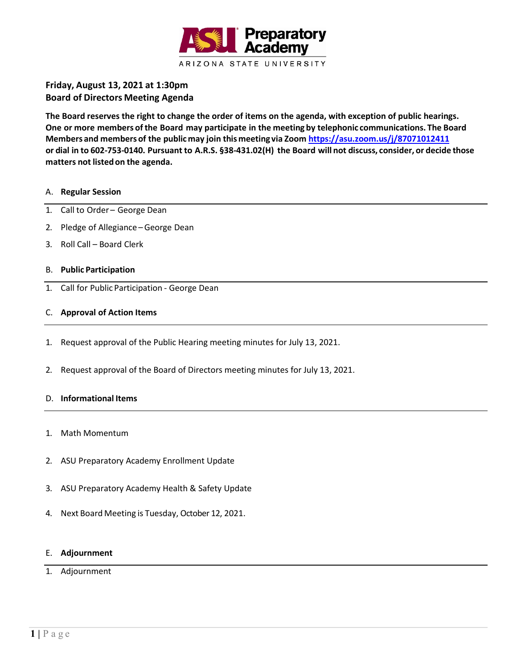

# **Friday, August 13, 2021 at 1:30pm Board of Directors Meeting Agenda**

**The Board reserves the right to change the order of items on the agenda, with exception of public hearings. One or more members ofthe Board may participate in the meeting by telephonic communications. The Board Members and membersof the publicmay join thismeeting via Zoom <https://asu.zoom.us/j/87071012411>** or dial in to 602-753-0140. Pursuant to A.R.S. §38-431.02(H) the Board will not discuss, consider, or decide those **matters not listedon the agenda.**

#### A. **Regular Session**

- 1. Call to Order George Dean
- 2. Pledge of Allegiance –George Dean
- 3. Roll Call Board Clerk

#### B. **Public Participation**

1. Call for Public Participation - George Dean

#### C. **Approval of Action Items**

- 1. Request approval of the Public Hearing meeting minutes for July 13, 2021.
- 2. Request approval of the Board of Directors meeting minutes for July 13, 2021.

#### D. **Informational Items**

- 1. Math Momentum
- 2. ASU Preparatory Academy Enrollment Update
- 3. ASU Preparatory Academy Health & Safety Update
- 4. Next Board Meeting is Tuesday, October 12, 2021.

#### E. **Adjournment**

#### 1. Adjournment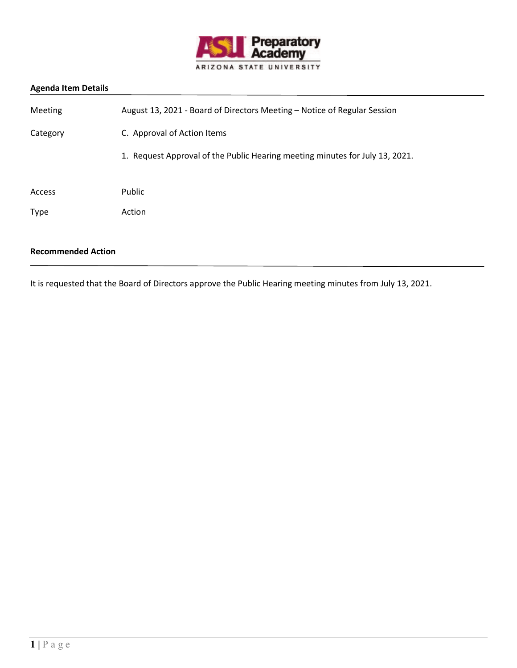

| <b>Meeting</b> | August 13, 2021 - Board of Directors Meeting - Notice of Regular Session     |
|----------------|------------------------------------------------------------------------------|
| Category       | C. Approval of Action Items                                                  |
|                | 1. Request Approval of the Public Hearing meeting minutes for July 13, 2021. |
| Access         | Public                                                                       |
| <b>Type</b>    | Action                                                                       |
|                |                                                                              |

## **Recommended Action**

It is requested that the Board of Directors approve the Public Hearing meeting minutes from July 13, 2021.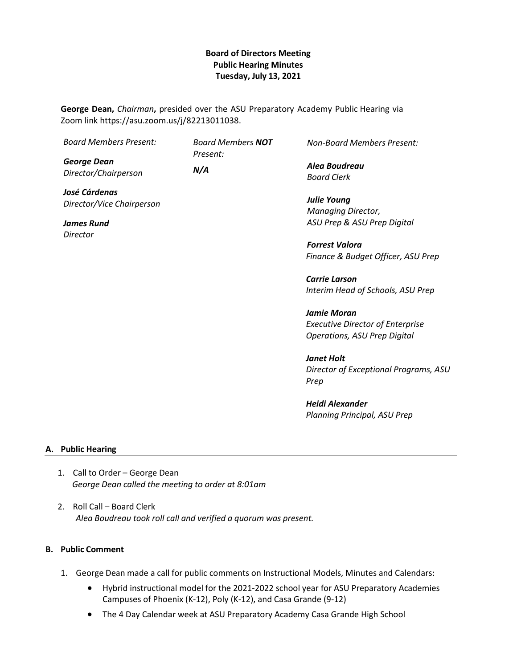## **Board of Directors Meeting Public Hearing Minutes Tuesday, July 13, 2021**

**George Dean,** *Chairman***,** presided over the ASU Preparatory Academy Public Hearing via Zoom link https://asu.zoom.us/j/82213011038.

| <b>Board Members Present:</b> | <b>Board Members NOT</b><br>Present: | <b>Non-Board Members Present:</b>       |
|-------------------------------|--------------------------------------|-----------------------------------------|
| <b>George Dean</b>            |                                      | Alea Boudreau                           |
| Director/Chairperson          | N/A                                  | <b>Board Clerk</b>                      |
| José Cárdenas                 |                                      |                                         |
| Director/Vice Chairperson     |                                      | <b>Julie Young</b>                      |
|                               |                                      | Managing Director,                      |
| James Rund                    |                                      | ASU Prep & ASU Prep Digital             |
| Director                      |                                      |                                         |
|                               |                                      | <b>Forrest Valora</b>                   |
|                               |                                      | Finance & Budget Officer, ASU Prep      |
|                               |                                      | <b>Carrie Larson</b>                    |
|                               |                                      | Interim Head of Schools, ASU Prep       |
|                               |                                      | Jamie Moran                             |
|                               |                                      | <b>Executive Director of Enterprise</b> |
|                               |                                      |                                         |
|                               |                                      | Operations, ASU Prep Digital            |

*Janet Holt Director of Exceptional Programs, ASU Prep* 

*Heidi Alexander Planning Principal, ASU Prep*

### **A. Public Hearing**

- 1. Call to Order George Dean *George Dean called the meeting to order at 8:01am*
- 2. Roll Call Board Clerk *Alea Boudreau took roll call and verified a quorum was present.*

#### **B. Public Comment**

- 1. George Dean made a call for public comments on Instructional Models, Minutes and Calendars:
	- Hybrid instructional model for the 2021-2022 school year for ASU Preparatory Academies Campuses of Phoenix (K-12), Poly (K-12), and Casa Grande (9-12)
	- The 4 Day Calendar week at ASU Preparatory Academy Casa Grande High School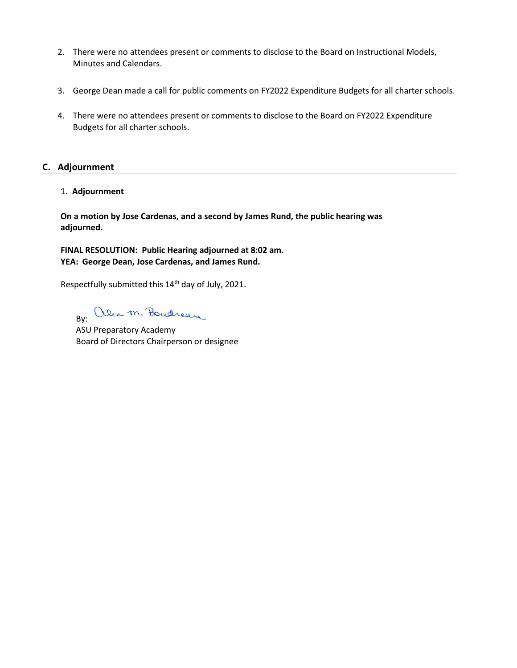- 2. There were no attendees present or comments to disclose to the Board on Instructional Models, Minutes and Calendars.
- 3. George Dean made a call for public comments on FY2022 Expenditure Budgets for all charter schools.
- 4. There were no attendees present or comments to disclose to the Board on FY2022 Expenditure Budgets for all charter schools.

## **C. Adjournment**

1. **Adjournment**

**On a motion by Jose Cardenas, and a second by James Rund, the public hearing was adjourned.**

**FINAL RESOLUTION: Public Hearing adjourned at 8:02 am. YEA: George Dean, Jose Cardenas, and James Rund.**

Respectfully submitted this 14<sup>th</sup> day of July, 2021.

By: alea m. Boucheau

ASU Preparatory Academy Board of Directors Chairperson or designee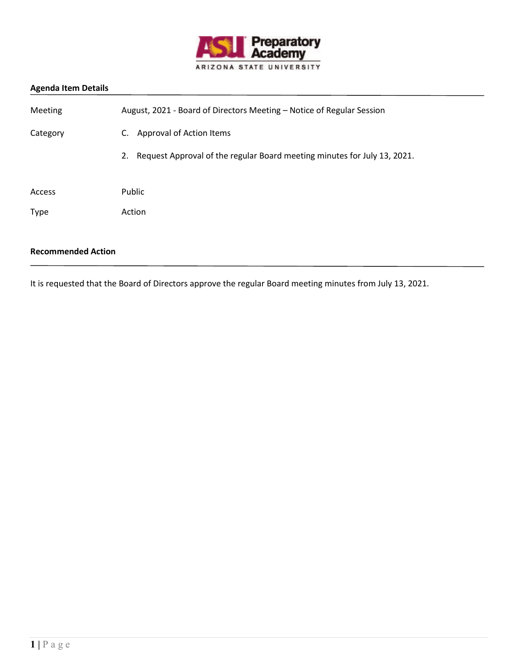

| Meeting                   | August, 2021 - Board of Directors Meeting - Notice of Regular Session       |
|---------------------------|-----------------------------------------------------------------------------|
| Category                  | Approval of Action Items<br>C.                                              |
|                           | 2. Request Approval of the regular Board meeting minutes for July 13, 2021. |
| Access                    | Public                                                                      |
| <b>Type</b>               | Action                                                                      |
| <b>Recommended Action</b> |                                                                             |

It is requested that the Board of Directors approve the regular Board meeting minutes from July 13, 2021.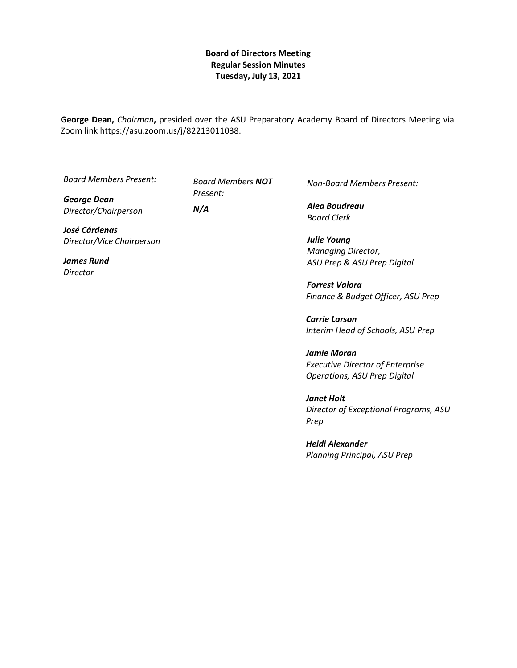## **Board of Directors Meeting Regular Session Minutes Tuesday, July 13, 2021**

**George Dean,** *Chairman***,** presided over the ASU Preparatory Academy Board of Directors Meeting via Zoom link https://asu.zoom.us/j/82213011038.

*Board Members Present:*

*George Dean Director/Chairperson*

*Board Members NOT Present: N/A*

*José Cárdenas Director/Vice Chairperson*

*James Rund Director*

*Non-Board Members Present:*

*Alea Boudreau Board Clerk*

*Julie Young Managing Director, ASU Prep & ASU Prep Digital*

*Forrest Valora Finance & Budget Officer, ASU Prep*

*Carrie Larson Interim Head of Schools, ASU Prep*

*Jamie Moran Executive Director of Enterprise Operations, ASU Prep Digital*

*Janet Holt Director of Exceptional Programs, ASU Prep* 

*Heidi Alexander Planning Principal, ASU Prep*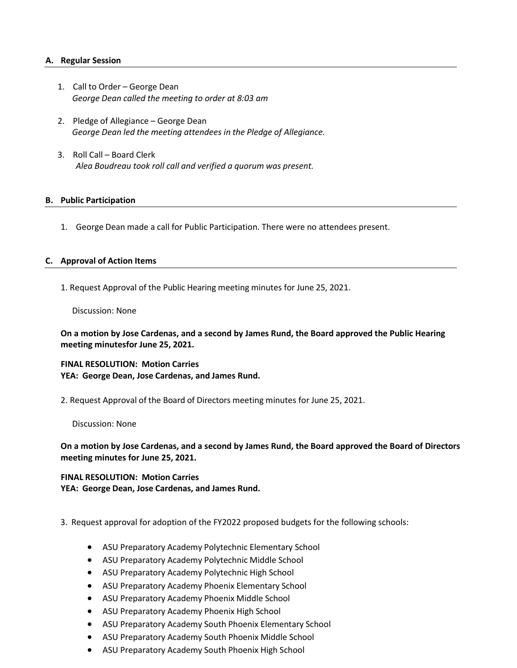### **A. Regular Session**

- 1. Call to Order George Dean *George Dean called the meeting to order at 8:03 am*
- 2. Pledge of Allegiance George Dean *George Dean led the meeting attendees in the Pledge of Allegiance.*
- 3. Roll Call Board Clerk *Alea Boudreau took roll call and verified a quorum was present.*

#### **B. Public Participation**

1. George Dean made a call for Public Participation. There were no attendees present.

#### **C. Approval of Action Items**

1. Request Approval of the Public Hearing meeting minutes for June 25, 2021.

Discussion: None

**On a motion by Jose Cardenas, and a second by James Rund, the Board approved the Public Hearing meeting minutesfor June 25, 2021.**

**FINAL RESOLUTION: Motion Carries YEA: George Dean, Jose Cardenas, and James Rund.**

2. Request Approval of the Board of Directors meeting minutes for June 25, 2021.

Discussion: None

**On a motion by Jose Cardenas, and a second by James Rund, the Board approved the Board of Directors meeting minutes for June 25, 2021.**

**FINAL RESOLUTION: Motion Carries YEA: George Dean, Jose Cardenas, and James Rund.**

- 3. Request approval for adoption of the FY2022 proposed budgets for the following schools:
	- ASU Preparatory Academy Polytechnic Elementary School
	- ASU Preparatory Academy Polytechnic Middle School
	- ASU Preparatory Academy Polytechnic High School
	- ASU Preparatory Academy Phoenix Elementary School
	- ASU Preparatory Academy Phoenix Middle School
	- ASU Preparatory Academy Phoenix High School
	- ASU Preparatory Academy South Phoenix Elementary School
	- ASU Preparatory Academy South Phoenix Middle School
	- ASU Preparatory Academy South Phoenix High School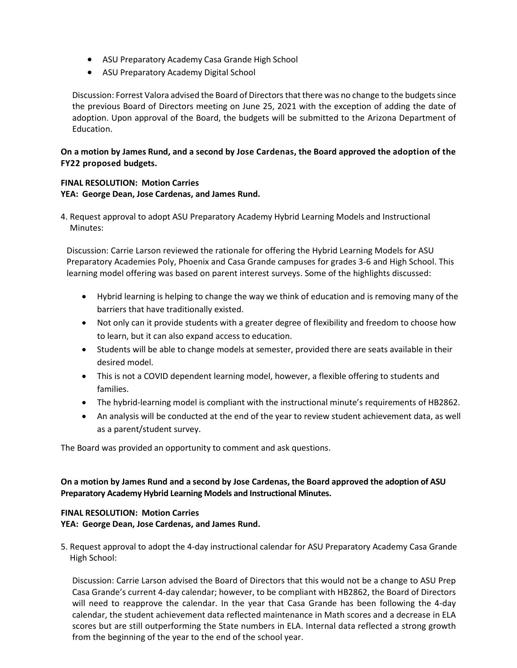- ASU Preparatory Academy Casa Grande High School
- ASU Preparatory Academy Digital School

Discussion: Forrest Valora advised the Board of Directors that there was no change to the budgets since the previous Board of Directors meeting on June 25, 2021 with the exception of adding the date of adoption. Upon approval of the Board, the budgets will be submitted to the Arizona Department of Education.

## **On a motion by James Rund, and a second by Jose Cardenas, the Board approved the adoption of the FY22 proposed budgets.**

### **FINAL RESOLUTION: Motion Carries YEA: George Dean, Jose Cardenas, and James Rund.**

4. Request approval to adopt ASU Preparatory Academy Hybrid Learning Models and Instructional Minutes:

Discussion: Carrie Larson reviewed the rationale for offering the Hybrid Learning Models for ASU Preparatory Academies Poly, Phoenix and Casa Grande campuses for grades 3-6 and High School. This learning model offering was based on parent interest surveys. Some of the highlights discussed:

- Hybrid learning is helping to change the way we think of education and is removing many of the barriers that have traditionally existed.
- Not only can it provide students with a greater degree of flexibility and freedom to choose how to learn, but it can also expand access to education.
- Students will be able to change models at semester, provided there are seats available in their desired model.
- This is not a COVID dependent learning model, however, a flexible offering to students and families.
- The hybrid-learning model is compliant with the instructional minute's requirements of HB2862.
- An analysis will be conducted at the end of the year to review student achievement data, as well as a parent/student survey.

The Board was provided an opportunity to comment and ask questions.

## **On a motion by James Rund and a second by Jose Cardenas, the Board approved the adoption of ASU Preparatory Academy Hybrid Learning Models and Instructional Minutes.**

# **FINAL RESOLUTION: Motion Carries**

**YEA: George Dean, Jose Cardenas, and James Rund.**

5. Request approval to adopt the 4-day instructional calendar for ASU Preparatory Academy Casa Grande High School:

Discussion: Carrie Larson advised the Board of Directors that this would not be a change to ASU Prep Casa Grande's current 4-day calendar; however, to be compliant with HB2862, the Board of Directors will need to reapprove the calendar. In the year that Casa Grande has been following the 4-day calendar, the student achievement data reflected maintenance in Math scores and a decrease in ELA scores but are still outperforming the State numbers in ELA. Internal data reflected a strong growth from the beginning of the year to the end of the school year.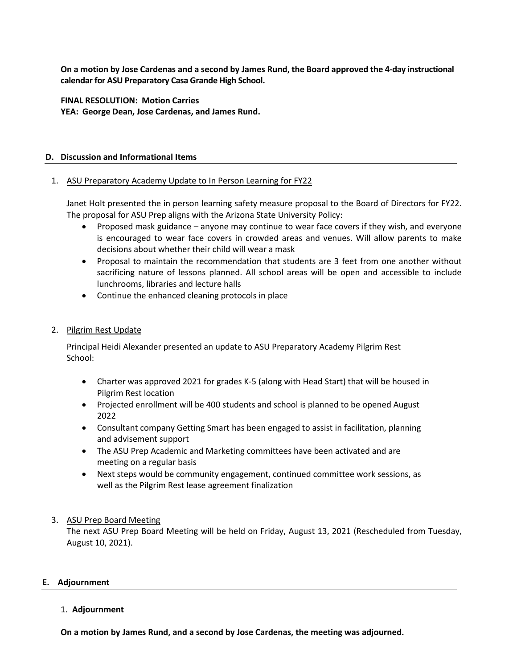**On a motion by Jose Cardenas and a second by James Rund, the Board approved the 4-day instructional calendar for ASU Preparatory Casa Grande High School.**

**FINAL RESOLUTION: Motion Carries YEA: George Dean, Jose Cardenas, and James Rund.**

#### **D. Discussion and Informational Items**

#### 1. ASU Preparatory Academy Update to In Person Learning for FY22

Janet Holt presented the in person learning safety measure proposal to the Board of Directors for FY22. The proposal for ASU Prep aligns with the Arizona State University Policy:

- Proposed mask guidance anyone may continue to wear face covers if they wish, and everyone is encouraged to wear face covers in crowded areas and venues. Will allow parents to make decisions about whether their child will wear a mask
- Proposal to maintain the recommendation that students are 3 feet from one another without sacrificing nature of lessons planned. All school areas will be open and accessible to include lunchrooms, libraries and lecture halls
- Continue the enhanced cleaning protocols in place
- 2. Pilgrim Rest Update

Principal Heidi Alexander presented an update to ASU Preparatory Academy Pilgrim Rest School:

- Charter was approved 2021 for grades K-5 (along with Head Start) that will be housed in Pilgrim Rest location
- Projected enrollment will be 400 students and school is planned to be opened August 2022
- Consultant company Getting Smart has been engaged to assist in facilitation, planning and advisement support
- The ASU Prep Academic and Marketing committees have been activated and are meeting on a regular basis
- Next steps would be community engagement, continued committee work sessions, as well as the Pilgrim Rest lease agreement finalization

### 3. ASU Prep Board Meeting

The next ASU Prep Board Meeting will be held on Friday, August 13, 2021 (Rescheduled from Tuesday, August 10, 2021).

### **E. Adjournment**

### 1. **Adjournment**

**On a motion by James Rund, and a second by Jose Cardenas, the meeting was adjourned.**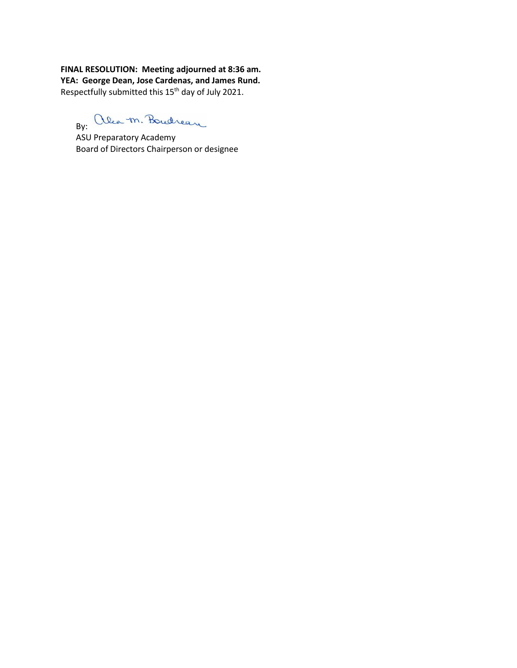**FINAL RESOLUTION: Meeting adjourned at 8:36 am. YEA: George Dean, Jose Cardenas, and James Rund.** Respectfully submitted this 15th day of July 2021.

By: alea m. Boucheau

ASU Preparatory Academy Board of Directors Chairperson or designee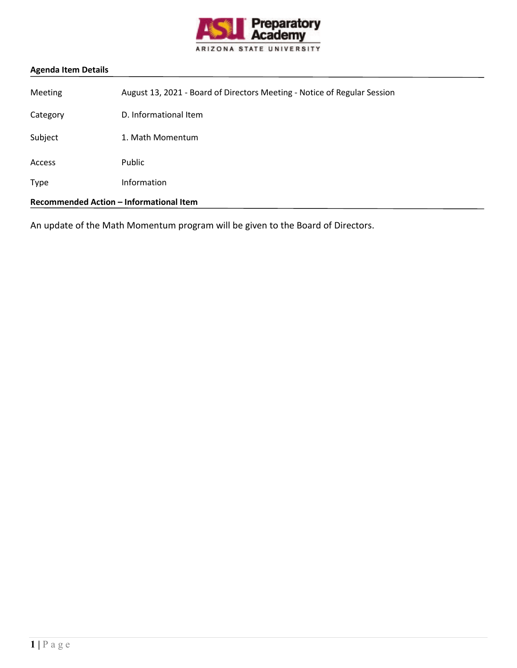

| Recommended Action - Informational Item |                                                                          |
|-----------------------------------------|--------------------------------------------------------------------------|
| <b>Type</b>                             | Information                                                              |
| <b>Access</b>                           | Public                                                                   |
| Subject                                 | 1. Math Momentum                                                         |
| Category                                | D. Informational Item                                                    |
| Meeting                                 | August 13, 2021 - Board of Directors Meeting - Notice of Regular Session |

An update of the Math Momentum program will be given to the Board of Directors.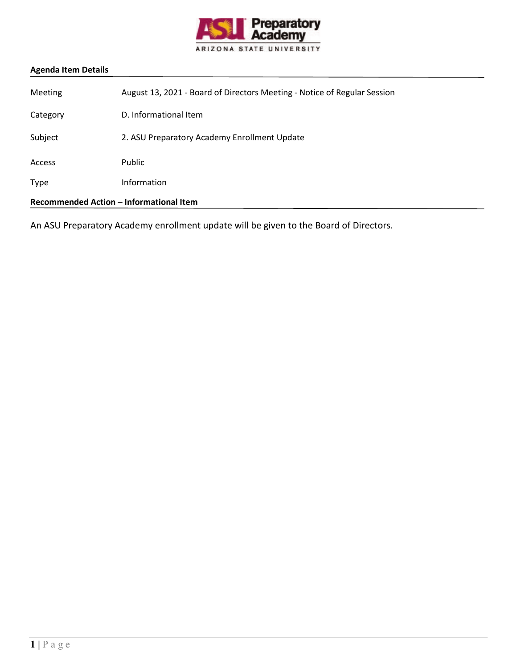

| Recommended Action - Informational Item |                                                                          |
|-----------------------------------------|--------------------------------------------------------------------------|
| Type                                    | Information                                                              |
| <b>Access</b>                           | Public                                                                   |
| Subject                                 | 2. ASU Preparatory Academy Enrollment Update                             |
| Category                                | D. Informational Item                                                    |
| <b>Meeting</b>                          | August 13, 2021 - Board of Directors Meeting - Notice of Regular Session |

An ASU Preparatory Academy enrollment update will be given to the Board of Directors.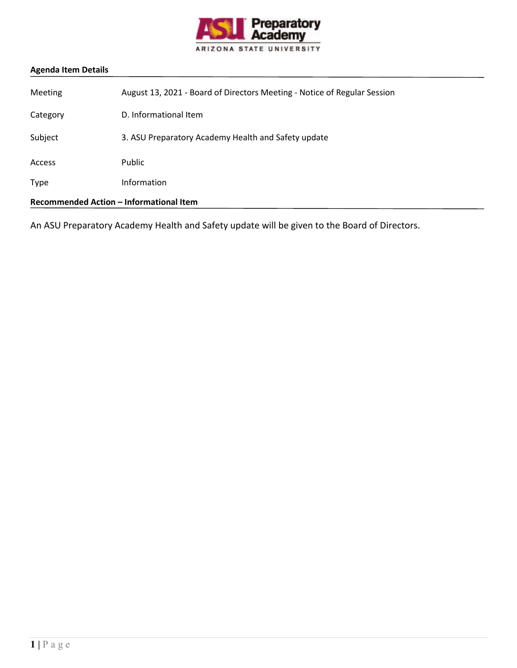

| Recommended Action - Informational Item |                                                                          |
|-----------------------------------------|--------------------------------------------------------------------------|
| Type                                    | Information                                                              |
| <b>Access</b>                           | Public                                                                   |
| Subject                                 | 3. ASU Preparatory Academy Health and Safety update                      |
| Category                                | D. Informational Item                                                    |
| <b>Meeting</b>                          | August 13, 2021 - Board of Directors Meeting - Notice of Regular Session |

An ASU Preparatory Academy Health and Safety update will be given to the Board of Directors.